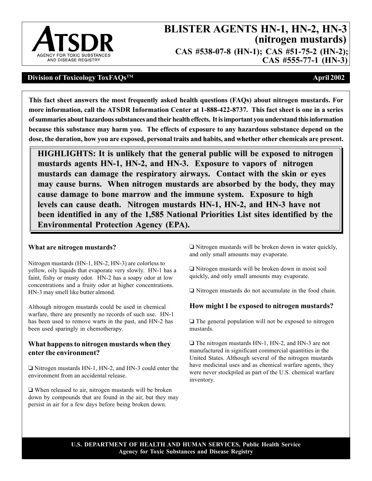

# **BLISTER AGENTS HN-1, HN-2, HN-3 (nitrogen mustards)**

**CAS #538-07-8 (HN-1); CAS #51-75-2 (HN-2); CAS #555-77-1 (HN-3)** 

## **Division of Toxicology ToxFAQsTM April 2002**

 **more information, call the ATSDR Information Center at 1-888-422-8737. This fact sheet is one in a series because this substance may harm you. The effects of exposure to any hazardous substance depend on the This fact sheet answers the most frequently asked health questions (FAQs) about nitrogen mustards. For of summaries about hazardous substances and their health effects. It is important you understand this information dose, the duration, how you are exposed, personal traits and habits, and whether other chemicals are present.** 

**HIGHLIGHTS: It is unlikely that the general public will be exposed to nitrogen mustards agents HN-1, HN-2, and HN-3. Exposure to vapors of nitrogen mustards can damage the respiratory airways. Contact with the skin or eyes may cause burns. When nitrogen mustards are absorbed by the body, they may cause damage to bone marrow and the immune system. Exposure to high levels can cause death. Nitrogen mustards HN-1, HN-2, and HN-3 have not been identified in any of the 1,585 National Priorities List sites identified by the Environmental Protection Agency (EPA).** 

### **What are nitrogen mustards?**

Nitrogen mustards (HN-1, HN-2, HN-3) are colorless to yellow, oily liquids that evaporate very slowly. HN-1 has a faint, fishy or musty odor. HN-2 has a soapy odor at low concentrations and a fruity odor at higher concentrations. HN-3 may smell like butter almond.

Although nitrogen mustards could be used in chemical warfare, there are presently no records of such use. HN-1 has been used to remove warts in the past, and HN-2 has been used sparingly in chemotherapy.

# **What happens to nitrogen mustards when they enter the environment?**

□ Nitrogen mustards HN-1, HN-2, and HN-3 could enter the environment from an accidental release.

 $\Box$  When released to air, nitrogen mustards will be broken down by compounds that are found in the air, but they may persist in air for a few days before being broken down.

 $\Box$  Nitrogen mustards will be broken down in water quickly, and only small amounts may evaporate.

 $\Box$  Nitrogen mustards will be broken down in moist soil quickly, and only small amounts may evaporate.

 $\Box$  Nitrogen mustards do not accumulate in the food chain.

### **How might I be exposed to nitrogen mustards?**

 $\Box$  The general population will not be exposed to nitrogen mustards.

 $\Box$  The nitrogen mustards HN-1, HN-2, and HN-3 are not manufactured in significant commercial quantities in the United States. Although several of the nitrogen mustards have medicinal uses and as chemical warfare agents, they were never stockpiled as part of the U.S. chemical warfare inventory.

**U.S. DEPARTMENT OF HEALTH AND HUMAN SERVICES, Public Health Service Agency for Toxic Substances and Disease Registry**